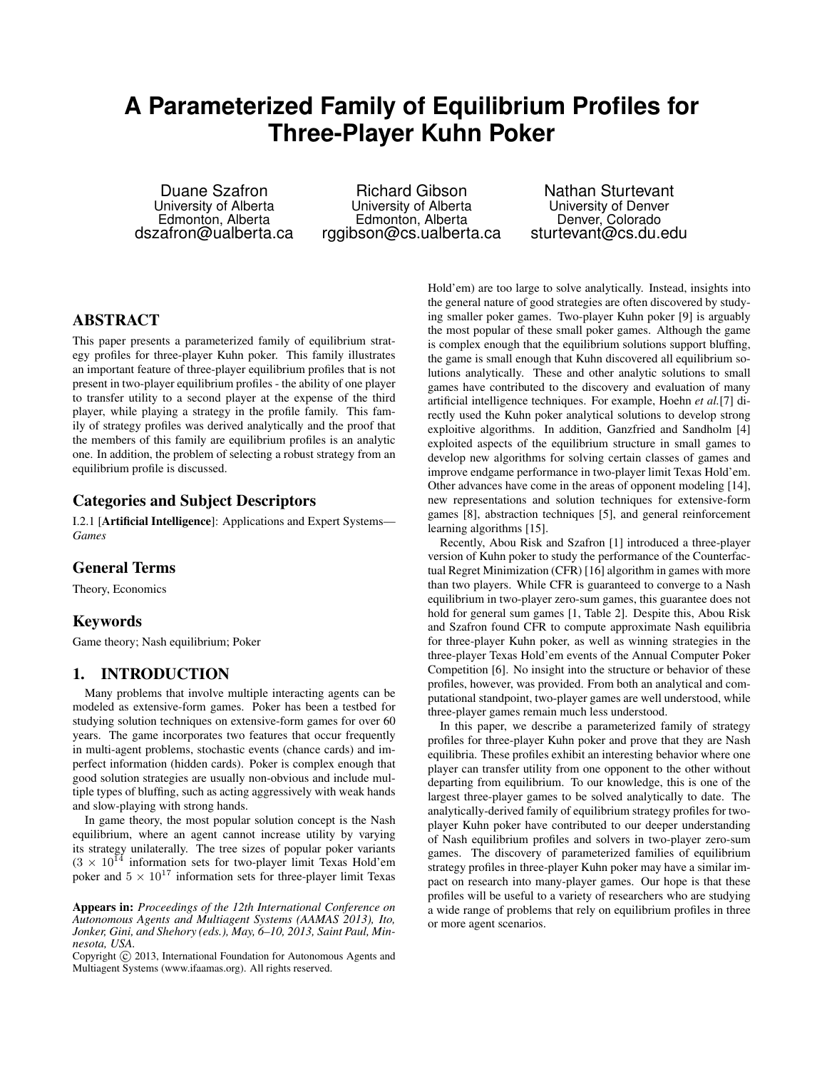# **A Parameterized Family of Equilibrium Profiles for Three-Player Kuhn Poker**

Duane Szafron University of Alberta Edmonton, Alberta dszafron@ualberta.ca

Richard Gibson University of Alberta Edmonton, Alberta rggibson@cs.ualberta.ca

Nathan Sturtevant University of Denver Denver, Colorado sturtevant@cs.du.edu

# ABSTRACT

This paper presents a parameterized family of equilibrium strategy profiles for three-player Kuhn poker. This family illustrates an important feature of three-player equilibrium profiles that is not present in two-player equilibrium profiles - the ability of one player to transfer utility to a second player at the expense of the third player, while playing a strategy in the profile family. This family of strategy profiles was derived analytically and the proof that the members of this family are equilibrium profiles is an analytic one. In addition, the problem of selecting a robust strategy from an equilibrium profile is discussed.

# Categories and Subject Descriptors

I.2.1 [Artificial Intelligence]: Applications and Expert Systems— *Games*

## General Terms

Theory, Economics

## Keywords

Game theory; Nash equilibrium; Poker

## 1. INTRODUCTION

Many problems that involve multiple interacting agents can be modeled as extensive-form games. Poker has been a testbed for studying solution techniques on extensive-form games for over 60 years. The game incorporates two features that occur frequently in multi-agent problems, stochastic events (chance cards) and imperfect information (hidden cards). Poker is complex enough that good solution strategies are usually non-obvious and include multiple types of bluffing, such as acting aggressively with weak hands and slow-playing with strong hands.

In game theory, the most popular solution concept is the Nash equilibrium, where an agent cannot increase utility by varying its strategy unilaterally. The tree sizes of popular poker variants  $(3 \times 10^{14}$  information sets for two-player limit Texas Hold'em poker and  $5 \times 10^{17}$  information sets for three-player limit Texas

Appears in: *Proceedings of the 12th International Conference on Autonomous Agents and Multiagent Systems (AAMAS 2013), Ito, Jonker, Gini, and Shehory (eds.), May, 6–10, 2013, Saint Paul, Minnesota, USA.*

Copyright (C) 2013, International Foundation for Autonomous Agents and Multiagent Systems (www.ifaamas.org). All rights reserved.

Hold'em) are too large to solve analytically. Instead, insights into the general nature of good strategies are often discovered by studying smaller poker games. Two-player Kuhn poker [9] is arguably the most popular of these small poker games. Although the game is complex enough that the equilibrium solutions support bluffing, the game is small enough that Kuhn discovered all equilibrium solutions analytically. These and other analytic solutions to small games have contributed to the discovery and evaluation of many artificial intelligence techniques. For example, Hoehn *et al.*[7] directly used the Kuhn poker analytical solutions to develop strong exploitive algorithms. In addition, Ganzfried and Sandholm [4] exploited aspects of the equilibrium structure in small games to develop new algorithms for solving certain classes of games and improve endgame performance in two-player limit Texas Hold'em. Other advances have come in the areas of opponent modeling [14], new representations and solution techniques for extensive-form games [8], abstraction techniques [5], and general reinforcement learning algorithms [15].

Recently, Abou Risk and Szafron [1] introduced a three-player version of Kuhn poker to study the performance of the Counterfactual Regret Minimization (CFR) [16] algorithm in games with more than two players. While CFR is guaranteed to converge to a Nash equilibrium in two-player zero-sum games, this guarantee does not hold for general sum games [1, Table 2]. Despite this, Abou Risk and Szafron found CFR to compute approximate Nash equilibria for three-player Kuhn poker, as well as winning strategies in the three-player Texas Hold'em events of the Annual Computer Poker Competition [6]. No insight into the structure or behavior of these profiles, however, was provided. From both an analytical and computational standpoint, two-player games are well understood, while three-player games remain much less understood.

In this paper, we describe a parameterized family of strategy profiles for three-player Kuhn poker and prove that they are Nash equilibria. These profiles exhibit an interesting behavior where one player can transfer utility from one opponent to the other without departing from equilibrium. To our knowledge, this is one of the largest three-player games to be solved analytically to date. The analytically-derived family of equilibrium strategy profiles for twoplayer Kuhn poker have contributed to our deeper understanding of Nash equilibrium profiles and solvers in two-player zero-sum games. The discovery of parameterized families of equilibrium strategy profiles in three-player Kuhn poker may have a similar impact on research into many-player games. Our hope is that these profiles will be useful to a variety of researchers who are studying a wide range of problems that rely on equilibrium profiles in three or more agent scenarios.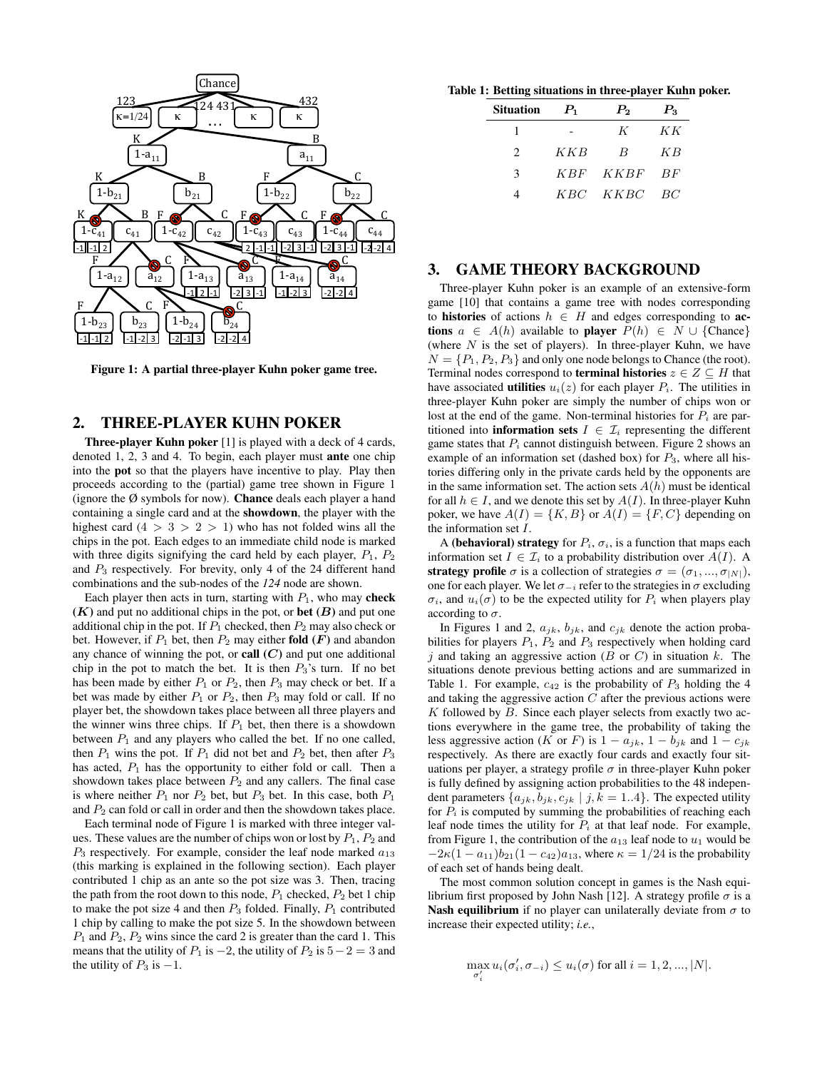

Figure 1: A partial three-player Kuhn poker game tree.

# 2. THREE-PLAYER KUHN POKER

Three-player Kuhn poker [1] is played with a deck of 4 cards, denoted 1, 2, 3 and 4. To begin, each player must ante one chip into the pot so that the players have incentive to play. Play then proceeds according to the (partial) game tree shown in Figure 1 (ignore the  $\emptyset$  symbols for now). **Chance** deals each player a hand containing a single card and at the showdown, the player with the highest card  $(4 > 3 > 2 > 1)$  who has not folded wins all the chips in the pot. Each edges to an immediate child node is marked with three digits signifying the card held by each player,  $P_1$ ,  $P_2$ and  $P_3$  respectively. For brevity, only 4 of the 24 different hand combinations and the sub-nodes of the *124* node are shown.

Each player then acts in turn, starting with  $P_1$ , who may check  $(K)$  and put no additional chips in the pot, or **bet**  $(B)$  and put one additional chip in the pot. If  $P_1$  checked, then  $P_2$  may also check or bet. However, if  $P_1$  bet, then  $P_2$  may either **fold**  $(F)$  and abandon any chance of winning the pot, or call  $(C)$  and put one additional chip in the pot to match the bet. It is then  $P_3$ 's turn. If no bet has been made by either  $P_1$  or  $P_2$ , then  $P_3$  may check or bet. If a bet was made by either  $P_1$  or  $P_2$ , then  $P_3$  may fold or call. If no player bet, the showdown takes place between all three players and the winner wins three chips. If  $P_1$  bet, then there is a showdown between  $P_1$  and any players who called the bet. If no one called, then  $P_1$  wins the pot. If  $P_1$  did not bet and  $P_2$  bet, then after  $P_3$ has acted,  $P_1$  has the opportunity to either fold or call. Then a showdown takes place between  $P_2$  and any callers. The final case is where neither  $P_1$  nor  $P_2$  bet, but  $P_3$  bet. In this case, both  $P_1$ and  $P_2$  can fold or call in order and then the showdown takes place.

Each terminal node of Figure 1 is marked with three integer values. These values are the number of chips won or lost by  $P_1$ ,  $P_2$  and  $P_3$  respectively. For example, consider the leaf node marked  $a_{13}$ (this marking is explained in the following section). Each player contributed 1 chip as an ante so the pot size was 3. Then, tracing the path from the root down to this node,  $P_1$  checked,  $P_2$  bet 1 chip to make the pot size 4 and then  $P_3$  folded. Finally,  $P_1$  contributed 1 chip by calling to make the pot size 5. In the showdown between  $P_1$  and  $P_2$ ,  $P_2$  wins since the card 2 is greater than the card 1. This means that the utility of  $P_1$  is  $-2$ , the utility of  $P_2$  is  $5-2=3$  and the utility of  $P_3$  is  $-1$ .

Table 1: Betting situations in three-player Kuhn poker.

| Situation                   | $P_{1}$ | $P_{2}$  | $P_{3}$ |
|-----------------------------|---------|----------|---------|
|                             |         | K        | KК      |
| $\mathcal{D}_{\mathcal{A}}$ | KKB     | B        | КB      |
| ٦                           |         | KBF KKBF | BF      |
|                             |         | KBC KKBC | - BC    |

## 3. GAME THEORY BACKGROUND

Three-player Kuhn poker is an example of an extensive-form game [10] that contains a game tree with nodes corresponding to histories of actions  $h \in H$  and edges corresponding to actions  $a \in A(h)$  available to player  $P(h) \in N \cup \{Change\}$ (where  $N$  is the set of players). In three-player Kuhn, we have  $N = \{P_1, P_2, P_3\}$  and only one node belongs to Chance (the root). Terminal nodes correspond to **terminal histories**  $z \in Z \subseteq H$  that have associated **utilities**  $u_i(z)$  for each player  $P_i$ . The utilities in three-player Kuhn poker are simply the number of chips won or lost at the end of the game. Non-terminal histories for  $P_i$  are partitioned into **information sets**  $I \in \mathcal{I}_i$  representing the different game states that  $P_i$  cannot distinguish between. Figure 2 shows an example of an information set (dashed box) for  $P_3$ , where all histories differing only in the private cards held by the opponents are in the same information set. The action sets  $A(h)$  must be identical for all  $h \in I$ , and we denote this set by  $A(I)$ . In three-player Kuhn poker, we have  $A(I) = \{K, B\}$  or  $A(I) = \{F, C\}$  depending on the information set I.

A (behavioral) strategy for  $P_i$ ,  $\sigma_i$ , is a function that maps each information set  $I \in \mathcal{I}_i$  to a probability distribution over  $A(I)$ . A strategy profile  $\sigma$  is a collection of strategies  $\sigma = (\sigma_1, ..., \sigma_{|N|}),$ one for each player. We let  $\sigma_{-i}$  refer to the strategies in  $\sigma$  excluding  $\sigma_i$ , and  $u_i(\sigma)$  to be the expected utility for  $P_i$  when players play according to  $\sigma$ .

In Figures 1 and 2,  $a_{jk}$ ,  $b_{jk}$ , and  $c_{jk}$  denote the action probabilities for players  $P_1$ ,  $P_2$  and  $P_3$  respectively when holding card i and taking an aggressive action ( $B$  or  $C$ ) in situation  $k$ . The situations denote previous betting actions and are summarized in Table 1. For example,  $c_{42}$  is the probability of  $P_3$  holding the 4 and taking the aggressive action  $C$  after the previous actions were  $K$  followed by  $B$ . Since each player selects from exactly two actions everywhere in the game tree, the probability of taking the less aggressive action (K or F) is  $1 - a_{jk}$ ,  $1 - b_{jk}$  and  $1 - c_{jk}$ respectively. As there are exactly four cards and exactly four situations per player, a strategy profile  $\sigma$  in three-player Kuhn poker is fully defined by assigning action probabilities to the 48 independent parameters  $\{a_{jk}, b_{jk}, c_{jk} | j, k = 1..4\}$ . The expected utility for  $P_i$  is computed by summing the probabilities of reaching each leaf node times the utility for  $P_i$  at that leaf node. For example, from Figure 1, the contribution of the  $a_{13}$  leaf node to  $u_1$  would be  $-2\kappa(1 - a_{11})b_{21}(1 - c_{42})a_{13}$ , where  $\kappa = 1/24$  is the probability of each set of hands being dealt.

The most common solution concept in games is the Nash equilibrium first proposed by John Nash [12]. A strategy profile  $\sigma$  is a Nash equilibrium if no player can unilaterally deviate from  $\sigma$  to increase their expected utility; *i.e.*,

$$
\max_{\sigma'_i} u_i(\sigma'_i, \sigma_{-i}) \leq u_i(\sigma) \text{ for all } i = 1, 2, ..., |N|.
$$

i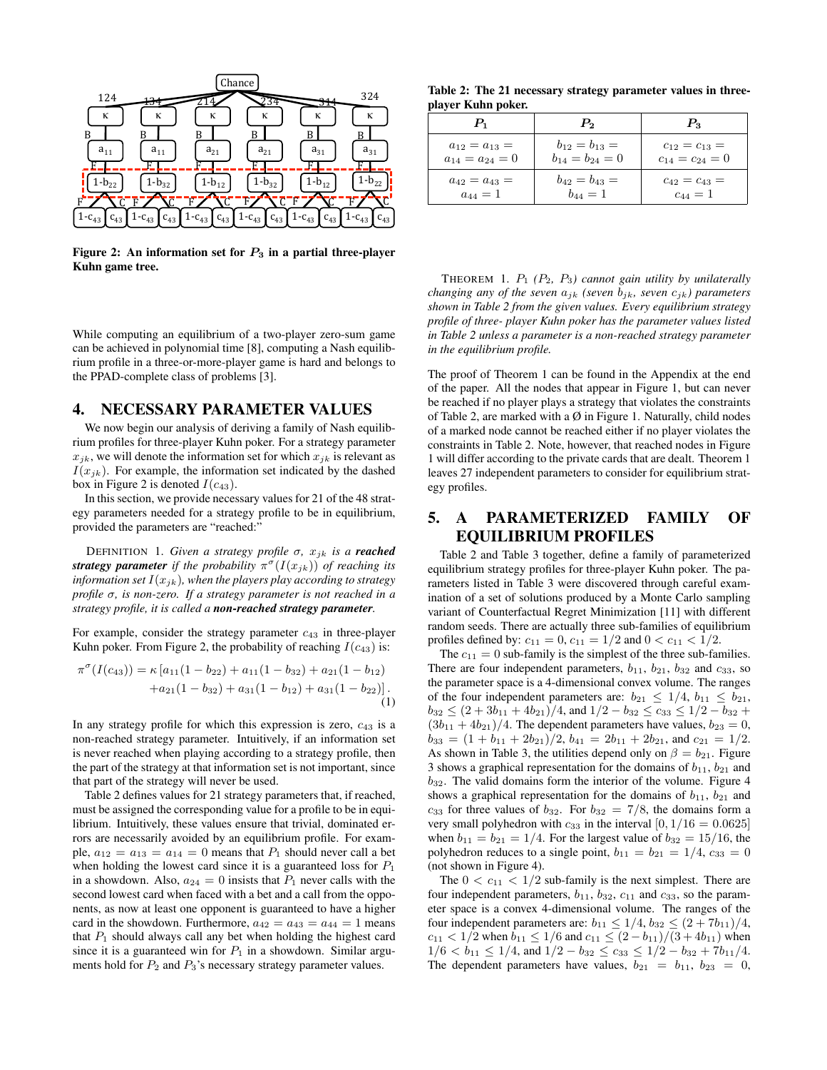

Figure 2: An information set for  $P_3$  in a partial three-player Kuhn game tree.

While computing an equilibrium of a two-player zero-sum game can be achieved in polynomial time [8], computing a Nash equilibrium profile in a three-or-more-player game is hard and belongs to the PPAD-complete class of problems [3].

#### 4. NECESSARY PARAMETER VALUES

We now begin our analysis of deriving a family of Nash equilibrium profiles for three-player Kuhn poker. For a strategy parameter  $x_{jk}$ , we will denote the information set for which  $x_{jk}$  is relevant as  $I(x_{jk})$ . For example, the information set indicated by the dashed box in Figure 2 is denoted  $I(c_{43})$ .

In this section, we provide necessary values for 21 of the 48 strategy parameters needed for a strategy profile to be in equilibrium, provided the parameters are "reached:"

DEFINITION 1. *Given a strategy profile*  $\sigma$ ,  $x_{jk}$  *is a reached* **strategy parameter** if the probability  $\pi^{\sigma}(I(x_{jk}))$  of reaching its *information set*  $I(x_{jk})$ *, when the players play according to strategy profile* σ*, is non-zero. If a strategy parameter is not reached in a strategy profile, it is called a non-reached strategy parameter.*

For example, consider the strategy parameter  $c_{43}$  in three-player Kuhn poker. From Figure 2, the probability of reaching  $I(c_{43})$  is:

$$
\pi^{\sigma}(I(c_{43})) = \kappa [a_{11}(1 - b_{22}) + a_{11}(1 - b_{32}) + a_{21}(1 - b_{12})
$$
  
+
$$
a_{21}(1 - b_{32}) + a_{31}(1 - b_{12}) + a_{31}(1 - b_{22})].
$$
  
(1)

In any strategy profile for which this expression is zero, c<sup>43</sup> is a non-reached strategy parameter. Intuitively, if an information set is never reached when playing according to a strategy profile, then the part of the strategy at that information set is not important, since that part of the strategy will never be used.

Table 2 defines values for 21 strategy parameters that, if reached, must be assigned the corresponding value for a profile to be in equilibrium. Intuitively, these values ensure that trivial, dominated errors are necessarily avoided by an equilibrium profile. For example,  $a_{12} = a_{13} = a_{14} = 0$  means that  $P_1$  should never call a bet when holding the lowest card since it is a guaranteed loss for  $P_1$ in a showdown. Also,  $a_{24} = 0$  insists that  $P_1$  never calls with the second lowest card when faced with a bet and a call from the opponents, as now at least one opponent is guaranteed to have a higher card in the showdown. Furthermore,  $a_{42} = a_{43} = a_{44} = 1$  means that  $P_1$  should always call any bet when holding the highest card since it is a guaranteed win for  $P_1$  in a showdown. Similar arguments hold for  $P_2$  and  $P_3$ 's necessary strategy parameter values.

Table 2: The 21 necessary strategy parameter values in threeplayer Kuhn poker.

| P,                    | $P_{2}$           | $P_{3}$           |
|-----------------------|-------------------|-------------------|
| $a_{12}=a_{13}=$      | $b_{12}=b_{13}=$  | $c_{12}=c_{13}=$  |
| $a_{14} = a_{24} = 0$ | $b_{14}=b_{24}=0$ | $c_{14}=c_{24}=0$ |
| $a_{42}=a_{43}=$      | $b_{42}=b_{43}=$  | $c_{42}=c_{43}=$  |
| $a_{44} = 1$          | $b_{44} = 1$      | $c_{44} = 1$      |

THEOREM 1. P<sup>1</sup> *(*P2*,* P3*) cannot gain utility by unilaterally changing any of the seven*  $a_{jk}$  *(seven b<sub>jk</sub>, seven c<sub>jk</sub>) parameters shown in Table 2 from the given values. Every equilibrium strategy profile of three- player Kuhn poker has the parameter values listed in Table 2 unless a parameter is a non-reached strategy parameter in the equilibrium profile.*

The proof of Theorem 1 can be found in the Appendix at the end of the paper. All the nodes that appear in Figure 1, but can never be reached if no player plays a strategy that violates the constraints of Table 2, are marked with a  $\emptyset$  in Figure 1. Naturally, child nodes of a marked node cannot be reached either if no player violates the constraints in Table 2. Note, however, that reached nodes in Figure 1 will differ according to the private cards that are dealt. Theorem 1 leaves 27 independent parameters to consider for equilibrium strategy profiles.

# 5. A PARAMETERIZED FAMILY OF EQUILIBRIUM PROFILES

Table 2 and Table 3 together, define a family of parameterized equilibrium strategy profiles for three-player Kuhn poker. The parameters listed in Table 3 were discovered through careful examination of a set of solutions produced by a Monte Carlo sampling variant of Counterfactual Regret Minimization [11] with different random seeds. There are actually three sub-families of equilibrium profiles defined by:  $c_{11} = 0$ ,  $c_{11} = 1/2$  and  $0 < c_{11} < 1/2$ .

The  $c_{11} = 0$  sub-family is the simplest of the three sub-families. There are four independent parameters,  $b_{11}$ ,  $b_{21}$ ,  $b_{32}$  and  $c_{33}$ , so the parameter space is a 4-dimensional convex volume. The ranges of the four independent parameters are:  $b_{21} \le 1/4$ ,  $b_{11} \le b_{21}$ ,  $b_{32} \leq (2 + 3b_{11} + 4b_{21})/4$ , and  $1/2 - b_{32} \leq c_{33} \leq 1/2 - b_{32}$  $(3b_{11} + 4b_{21})/4$ . The dependent parameters have values,  $b_{23} = 0$ ,  $b_{33} = (1 + b_{11} + 2b_{21})/2$ ,  $b_{41} = 2b_{11} + 2b_{21}$ , and  $c_{21} = 1/2$ . As shown in Table 3, the utilities depend only on  $\beta = b_{21}$ . Figure 3 shows a graphical representation for the domains of  $b_{11}$ ,  $b_{21}$  and  $b_{32}$ . The valid domains form the interior of the volume. Figure 4 shows a graphical representation for the domains of  $b_{11}$ ,  $b_{21}$  and  $c_{33}$  for three values of  $b_{32}$ . For  $b_{32} = 7/8$ , the domains form a very small polyhedron with  $c_{33}$  in the interval  $[0, 1/16 = 0.0625]$ when  $b_{11} = b_{21} = 1/4$ . For the largest value of  $b_{32} = 15/16$ , the polyhedron reduces to a single point,  $b_{11} = b_{21} = 1/4$ ,  $c_{33} = 0$ (not shown in Figure 4).

The  $0 < c_{11} < 1/2$  sub-family is the next simplest. There are four independent parameters,  $b_{11}$ ,  $b_{32}$ ,  $c_{11}$  and  $c_{33}$ , so the parameter space is a convex 4-dimensional volume. The ranges of the four independent parameters are:  $b_{11} \leq 1/4$ ,  $b_{32} \leq (2 + 7b_{11})/4$ ,  $c_{11}$  < 1/2 when  $b_{11} \le 1/6$  and  $c_{11} \le (2 - b_{11})/(3 + 4b_{11})$  when  $1/6 < b_{11} \leq 1/4$ , and  $1/2 - b_{32} \leq c_{33} \leq 1/2 - b_{32} + 7b_{11}/4$ . The dependent parameters have values,  $b_{21} = b_{11}$ ,  $b_{23} = 0$ ,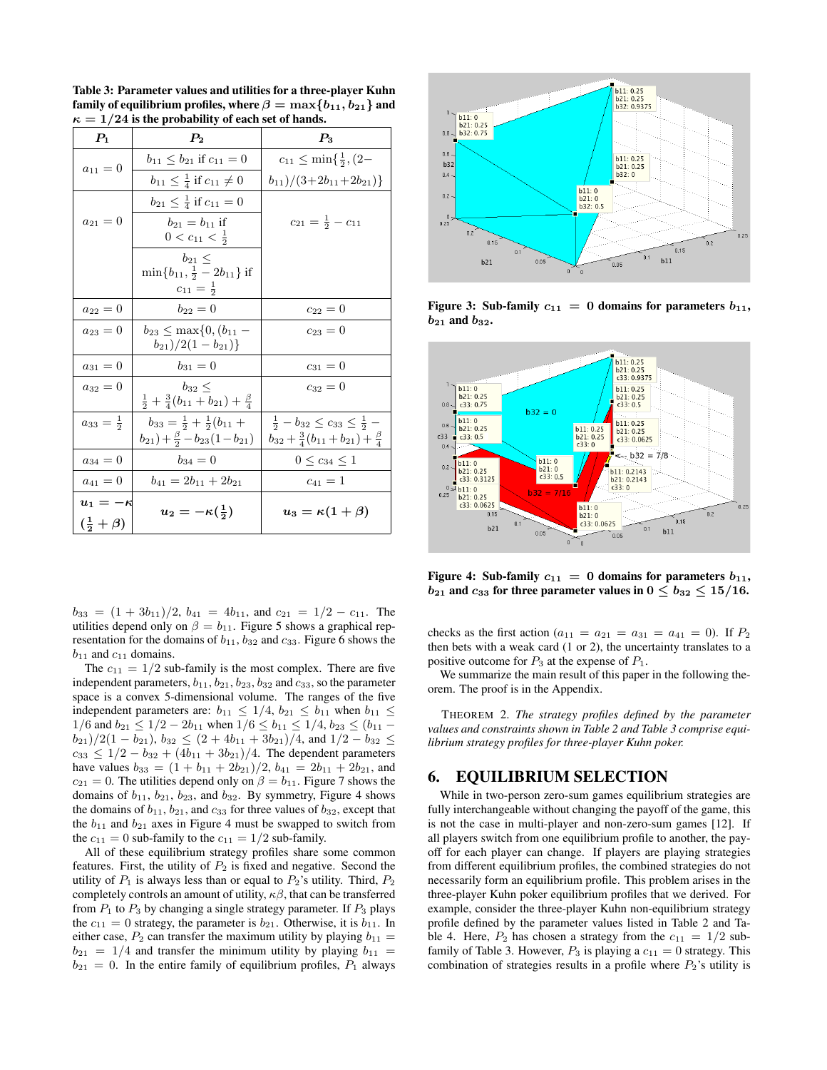Table 3: Parameter values and utilities for a three-player Kuhn family of equilibrium profiles, where  $\beta = \max\{b_{11}, b_{21}\}$  and  $\kappa = 1/24$  is the probability of each set of hands.

| $\mathcal{P}_1$                        | $P_{2}$                                                                                      | $P_{3}$                                                                                                      |
|----------------------------------------|----------------------------------------------------------------------------------------------|--------------------------------------------------------------------------------------------------------------|
| $a_{11}=0$                             | $b_{11} \leq b_{21}$ if $c_{11} = 0$                                                         | $c_{11} \leq \min\{\frac{1}{2}, (2 -$                                                                        |
|                                        | $b_{11} \leq \frac{1}{4}$ if $c_{11} \neq 0$                                                 | $(b_{11})/(3+2b_{11}+2b_{21})$                                                                               |
|                                        | $b_{21} \leq \frac{1}{4}$ if $c_{11} = 0$                                                    |                                                                                                              |
| $a_{21}=0$                             | $b_{21} = b_{11}$ if<br>$0 < c_{11} < \frac{1}{2}$                                           | $c_{21} = \frac{1}{2} - c_{11}$                                                                              |
|                                        | $b_{21} \leq$<br>$\min\{b_{11}, \frac{1}{2} - 2b_{11}\}\$ if                                 |                                                                                                              |
|                                        | $c_{11} = \frac{1}{2}$                                                                       |                                                                                                              |
| $a_{22}=0$                             | $b_{22}=0$                                                                                   | $c_{22}=0$                                                                                                   |
| $a_{23}=0$                             | $b_{23} \leq \max\{0,(b_{11} -$<br>$(b_{21})/2(1-b_{21})\}$                                  | $c_{23}=0$                                                                                                   |
| $a_{31}=0$                             | $b_{31}=0$                                                                                   | $c_{31}=0$                                                                                                   |
| $a_{32}=0$                             | $b_{32} <$<br>$rac{1}{2} + \frac{3}{4}(b_{11} + b_{21}) + \frac{\beta}{4}$                   | $c_{32}=0$                                                                                                   |
| $a_{33}=\frac{1}{2}$                   | $b_{33} = \frac{1}{2} + \frac{1}{2}(b_{11} +$<br>$(b_{21})+\frac{\beta}{2}-b_{23}(1-b_{21})$ | $\frac{1}{2} - b_{32} \leq c_{33} \leq \frac{1}{2}$ –<br>$b_{32}+\frac{3}{4}(b_{11}+b_{21})+\frac{\beta}{4}$ |
| $a_{34}=0$                             | $b_{34}=0$                                                                                   | $0 \leq c_{34} \leq 1$                                                                                       |
| $a_{41}=0$                             | $b_{41} = 2b_{11} + 2b_{21}$                                                                 | $c_{41} = 1$                                                                                                 |
| $u_1=-\kappa$<br>$(\frac{1}{2}+\beta)$ | $u_2=-\kappa(\frac{1}{2})$                                                                   | $u_3 = \kappa(1+\beta)$                                                                                      |

 $b_{33} = (1 + 3b_{11})/2$ ,  $b_{41} = 4b_{11}$ , and  $c_{21} = 1/2 - c_{11}$ . The utilities depend only on  $\beta = b_{11}$ . Figure 5 shows a graphical representation for the domains of  $b_{11}$ ,  $b_{32}$  and  $c_{33}$ . Figure 6 shows the  $b_{11}$  and  $c_{11}$  domains.

The  $c_{11} = 1/2$  sub-family is the most complex. There are five independent parameters,  $b_{11}$ ,  $b_{21}$ ,  $b_{23}$ ,  $b_{32}$  and  $c_{33}$ , so the parameter space is a convex 5-dimensional volume. The ranges of the five independent parameters are:  $b_{11} \le 1/4$ ,  $b_{21} \le b_{11}$  when  $b_{11} \le$  $1/6$  and  $b_{21} \le 1/2 - 2b_{11}$  when  $1/6 \le b_{11} \le 1/4$ ,  $b_{23} \le (b_{11} - b_{12})$  $(b_{21})/2(1 - b_{21}), b_{32} \leq (2 + 4b_{11} + 3b_{21})/4$ , and  $1/2 - b_{32} \leq$  $c_{33} \leq 1/2 - b_{32} + (4b_{11} + 3b_{21})/4$ . The dependent parameters have values  $b_{33} = (1 + b_{11} + 2b_{21})/2$ ,  $b_{41} = 2b_{11} + 2b_{21}$ , and  $c_{21} = 0$ . The utilities depend only on  $\beta = b_{11}$ . Figure 7 shows the domains of  $b_{11}$ ,  $b_{21}$ ,  $b_{23}$ , and  $b_{32}$ . By symmetry, Figure 4 shows the domains of  $b_{11}$ ,  $b_{21}$ , and  $c_{33}$  for three values of  $b_{32}$ , except that the  $b_{11}$  and  $b_{21}$  axes in Figure 4 must be swapped to switch from the  $c_{11} = 0$  sub-family to the  $c_{11} = 1/2$  sub-family.

All of these equilibrium strategy profiles share some common features. First, the utility of  $P_2$  is fixed and negative. Second the utility of  $P_1$  is always less than or equal to  $P_2$ 's utility. Third,  $P_2$ completely controls an amount of utility,  $\kappa\beta$ , that can be transferred from  $P_1$  to  $P_3$  by changing a single strategy parameter. If  $P_3$  plays the  $c_{11} = 0$  strategy, the parameter is  $b_{21}$ . Otherwise, it is  $b_{11}$ . In either case,  $P_2$  can transfer the maximum utility by playing  $b_{11} =$  $b_{21} = 1/4$  and transfer the minimum utility by playing  $b_{11} =$  $b_{21} = 0$ . In the entire family of equilibrium profiles,  $P_1$  always



Figure 3: Sub-family  $c_{11} = 0$  domains for parameters  $b_{11}$ ,  $b_{21}$  and  $b_{32}$ .



Figure 4: Sub-family  $c_{11} = 0$  domains for parameters  $b_{11}$ ,  $b_{21}$  and  $c_{33}$  for three parameter values in  $0 \leq b_{32} \leq 15/16$ .

checks as the first action ( $a_{11} = a_{21} = a_{31} = a_{41} = 0$ ). If  $P_2$ then bets with a weak card (1 or 2), the uncertainty translates to a positive outcome for  $P_3$  at the expense of  $P_1$ .

We summarize the main result of this paper in the following theorem. The proof is in the Appendix.

THEOREM 2. *The strategy profiles defined by the parameter values and constraints shown in Table 2 and Table 3 comprise equilibrium strategy profiles for three-player Kuhn poker.*

#### 6. EQUILIBRIUM SELECTION

While in two-person zero-sum games equilibrium strategies are fully interchangeable without changing the payoff of the game, this is not the case in multi-player and non-zero-sum games [12]. If all players switch from one equilibrium profile to another, the payoff for each player can change. If players are playing strategies from different equilibrium profiles, the combined strategies do not necessarily form an equilibrium profile. This problem arises in the three-player Kuhn poker equilibrium profiles that we derived. For example, consider the three-player Kuhn non-equilibrium strategy profile defined by the parameter values listed in Table 2 and Table 4. Here,  $P_2$  has chosen a strategy from the  $c_{11} = 1/2$  subfamily of Table 3. However,  $P_3$  is playing a  $c_{11} = 0$  strategy. This combination of strategies results in a profile where  $P_2$ 's utility is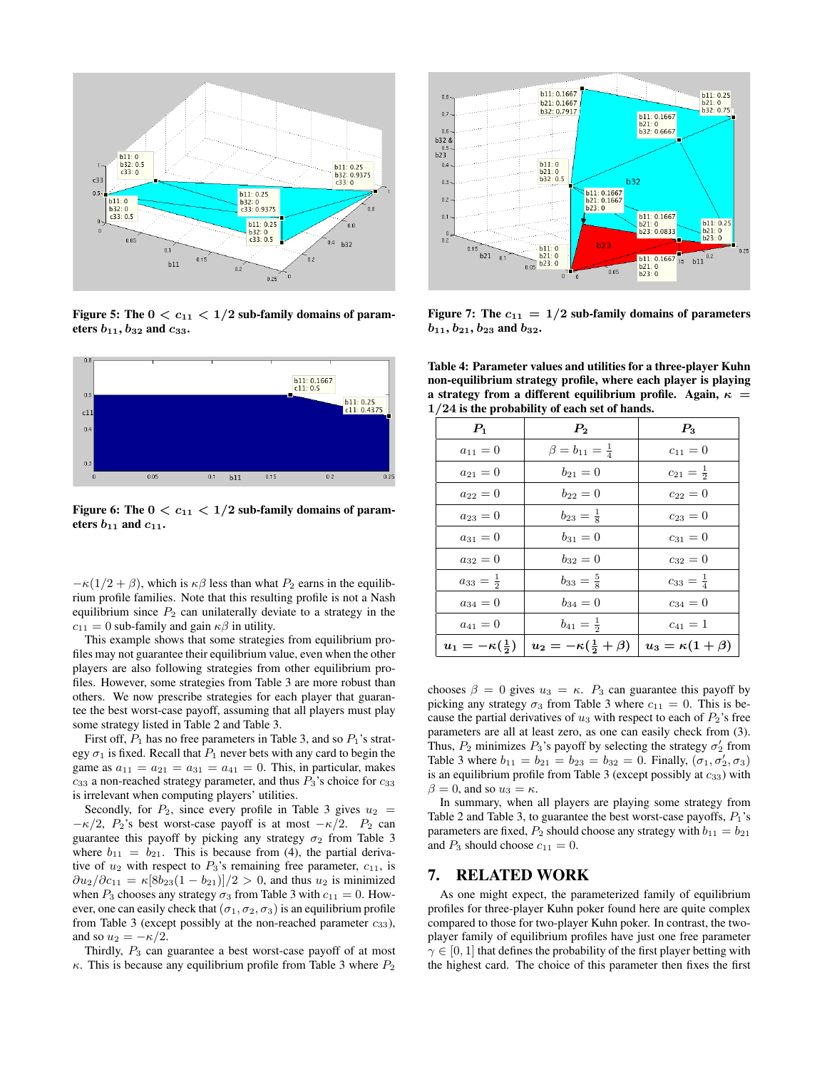

Figure 5: The  $0 < c_{11} < 1/2$  sub-family domains of parameters  $b_{11}$ ,  $b_{32}$  and  $c_{33}$ .



Figure 6: The  $0 < c_{11} < 1/2$  sub-family domains of parameters  $b_{11}$  and  $c_{11}$ .

 $-\kappa(1/2+\beta)$ , which is  $\kappa\beta$  less than what  $P_2$  earns in the equilibrium profile families. Note that this resulting profile is not a Nash equilibrium since  $P_2$  can unilaterally deviate to a strategy in the  $c_{11} = 0$  sub-family and gain  $\kappa \beta$  in utility.

This example shows that some strategies from equilibrium profiles may not guarantee their equilibrium value, even when the other players are also following strategies from other equilibrium profiles. However, some strategies from Table 3 are more robust than others. We now prescribe strategies for each player that guarantee the best worst-case payoff, assuming that all players must play some strategy listed in Table 2 and Table 3.

First off,  $P_1$  has no free parameters in Table 3, and so  $P_1$ 's strategy  $\sigma_1$  is fixed. Recall that  $P_1$  never bets with any card to begin the game as  $a_{11} = a_{21} = a_{31} = a_{41} = 0$ . This, in particular, makes  $c_{33}$  a non-reached strategy parameter, and thus  $P_3$ 's choice for  $c_{33}$ is irrelevant when computing players' utilities.

Secondly, for  $P_2$ , since every profile in Table 3 gives  $u_2$  =  $-\kappa/2$ ,  $P_2$ 's best worst-case payoff is at most  $-\kappa/2$ .  $P_2$  can guarantee this payoff by picking any strategy  $\sigma_2$  from Table 3 where  $b_{11} = b_{21}$ . This is because from (4), the partial derivative of  $u_2$  with respect to  $P_3$ 's remaining free parameter,  $c_{11}$ , is  $\frac{\partial u_2}{\partial c_{11}} = \kappa [8b_{23}(1 - b_{21})]/2 > 0$ , and thus  $u_2$  is minimized when  $P_3$  chooses any strategy  $\sigma_3$  from Table 3 with  $c_{11} = 0$ . However, one can easily check that  $(\sigma_1, \sigma_2, \sigma_3)$  is an equilibrium profile from Table 3 (except possibly at the non-reached parameter  $c_{33}$ ), and so  $u_2 = -\kappa/2$ .

Thirdly,  $P_3$  can guarantee a best worst-case payoff of at most  $\kappa$ . This is because any equilibrium profile from Table 3 where  $P_2$ 



Figure 7: The  $c_{11} = 1/2$  sub-family domains of parameters  $b_{11}$ ,  $b_{21}$ ,  $b_{23}$  and  $b_{32}$ .

Table 4: Parameter values and utilities for a three-player Kuhn non-equilibrium strategy profile, where each player is playing a strategy from a different equilibrium profile. Again,  $\kappa =$ 1/24 is the probability of each set of hands.

| $P_1$                        | $\boldsymbol{P_2}$                 | $P_{3}$                 |
|------------------------------|------------------------------------|-------------------------|
| $a_{11}=0$                   | $\beta = b_{11} = \frac{1}{4}$     | $c_{11}=0$              |
| $a_{21}=0$                   | $b_{21}=0$                         | $c_{21}=\frac{1}{2}$    |
| $a_{22}=0$                   | $b_{22}=0$                         | $c_{22}=0$              |
| $a_{23}=0$                   | $b_{23}=\frac{1}{8}$               | $c_{23}=0$              |
| $a_{31}=0$                   | $b_{31}=0$                         | $c_{31}=0$              |
| $a_{32}=0$                   | $b_{32}=0$                         | $c_{32}=0$              |
| $a_{33}=\frac{1}{2}$         | $b_{33}=\frac{5}{8}$               | $c_{33} = \frac{1}{4}$  |
| $a_{34}=0$                   | $b_{34}=0$                         | $c_{34}=0$              |
| $a_{41}=0$                   | $b_{41} = \frac{1}{2}$             | $c_{41}=1$              |
| $u_1 = -\kappa(\frac{1}{2})$ | $u_2 = -\kappa(\frac{1}{2}+\beta)$ | $u_3 = \kappa(1+\beta)$ |

chooses  $\beta = 0$  gives  $u_3 = \kappa$ .  $P_3$  can guarantee this payoff by picking any strategy  $\sigma_3$  from Table 3 where  $c_{11} = 0$ . This is because the partial derivatives of  $u_3$  with respect to each of  $P_2$ 's free parameters are all at least zero, as one can easily check from (3). Thus,  $P_2$  minimizes  $P_3$ 's payoff by selecting the strategy  $\sigma'_2$  from Table 3 where  $b_{11} = b_{21} = b_{23} = b_{32} = 0$ . Finally,  $(\sigma_1, \sigma_2', \sigma_3)$ is an equilibrium profile from Table 3 (except possibly at  $c_{33}$ ) with  $\beta = 0$ , and so  $u_3 = \kappa$ .

In summary, when all players are playing some strategy from Table 2 and Table 3, to guarantee the best worst-case payoffs,  $P_1$ 's parameters are fixed,  $P_2$  should choose any strategy with  $b_{11} = b_{21}$ and  $P_3$  should choose  $c_{11} = 0$ .

#### 7. RELATED WORK

As one might expect, the parameterized family of equilibrium profiles for three-player Kuhn poker found here are quite complex compared to those for two-player Kuhn poker. In contrast, the twoplayer family of equilibrium profiles have just one free parameter  $\gamma \in [0, 1]$  that defines the probability of the first player betting with the highest card. The choice of this parameter then fixes the first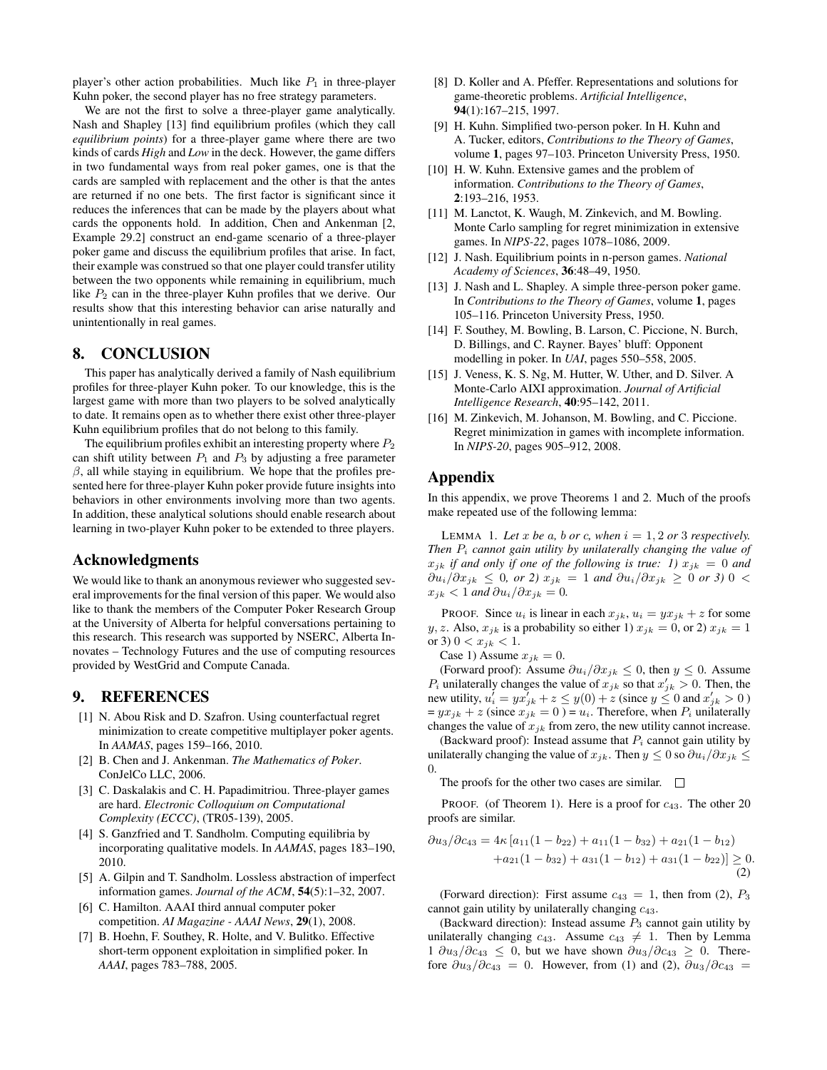player's other action probabilities. Much like  $P_1$  in three-player Kuhn poker, the second player has no free strategy parameters.

We are not the first to solve a three-player game analytically. Nash and Shapley [13] find equilibrium profiles (which they call *equilibrium points*) for a three-player game where there are two kinds of cards *High* and *Low* in the deck. However, the game differs in two fundamental ways from real poker games, one is that the cards are sampled with replacement and the other is that the antes are returned if no one bets. The first factor is significant since it reduces the inferences that can be made by the players about what cards the opponents hold. In addition, Chen and Ankenman [2, Example 29.2] construct an end-game scenario of a three-player poker game and discuss the equilibrium profiles that arise. In fact, their example was construed so that one player could transfer utility between the two opponents while remaining in equilibrium, much like  $P_2$  can in the three-player Kuhn profiles that we derive. Our results show that this interesting behavior can arise naturally and unintentionally in real games.

#### 8. CONCLUSION

This paper has analytically derived a family of Nash equilibrium profiles for three-player Kuhn poker. To our knowledge, this is the largest game with more than two players to be solved analytically to date. It remains open as to whether there exist other three-player Kuhn equilibrium profiles that do not belong to this family.

The equilibrium profiles exhibit an interesting property where  $P_2$ can shift utility between  $P_1$  and  $P_3$  by adjusting a free parameter  $\beta$ , all while staying in equilibrium. We hope that the profiles presented here for three-player Kuhn poker provide future insights into behaviors in other environments involving more than two agents. In addition, these analytical solutions should enable research about learning in two-player Kuhn poker to be extended to three players.

## Acknowledgments

We would like to thank an anonymous reviewer who suggested several improvements for the final version of this paper. We would also like to thank the members of the Computer Poker Research Group at the University of Alberta for helpful conversations pertaining to this research. This research was supported by NSERC, Alberta Innovates – Technology Futures and the use of computing resources provided by WestGrid and Compute Canada.

#### 9. REFERENCES

- [1] N. Abou Risk and D. Szafron. Using counterfactual regret minimization to create competitive multiplayer poker agents. In *AAMAS*, pages 159–166, 2010.
- [2] B. Chen and J. Ankenman. *The Mathematics of Poker*. ConJelCo LLC, 2006.
- [3] C. Daskalakis and C. H. Papadimitriou. Three-player games are hard. *Electronic Colloquium on Computational Complexity (ECCC)*, (TR05-139), 2005.
- [4] S. Ganzfried and T. Sandholm. Computing equilibria by incorporating qualitative models. In *AAMAS*, pages 183–190, 2010.
- [5] A. Gilpin and T. Sandholm. Lossless abstraction of imperfect information games. *Journal of the ACM*, 54(5):1–32, 2007.
- [6] C. Hamilton. AAAI third annual computer poker competition. *AI Magazine - AAAI News*, 29(1), 2008.
- [7] B. Hoehn, F. Southey, R. Holte, and V. Bulitko. Effective short-term opponent exploitation in simplified poker. In *AAAI*, pages 783–788, 2005.
- [8] D. Koller and A. Pfeffer. Representations and solutions for game-theoretic problems. *Artificial Intelligence*, 94(1):167–215, 1997.
- [9] H. Kuhn. Simplified two-person poker. In H. Kuhn and A. Tucker, editors, *Contributions to the Theory of Games*, volume 1, pages 97–103. Princeton University Press, 1950.
- [10] H. W. Kuhn. Extensive games and the problem of information. *Contributions to the Theory of Games*, 2:193–216, 1953.
- [11] M. Lanctot, K. Waugh, M. Zinkevich, and M. Bowling. Monte Carlo sampling for regret minimization in extensive games. In *NIPS-22*, pages 1078–1086, 2009.
- [12] J. Nash. Equilibrium points in n-person games. *National Academy of Sciences*, 36:48–49, 1950.
- [13] J. Nash and L. Shapley. A simple three-person poker game. In *Contributions to the Theory of Games*, volume 1, pages 105–116. Princeton University Press, 1950.
- [14] F. Southey, M. Bowling, B. Larson, C. Piccione, N. Burch, D. Billings, and C. Rayner. Bayes' bluff: Opponent modelling in poker. In *UAI*, pages 550–558, 2005.
- [15] J. Veness, K. S. Ng, M. Hutter, W. Uther, and D. Silver. A Monte-Carlo AIXI approximation. *Journal of Artificial Intelligence Research*, 40:95–142, 2011.
- [16] M. Zinkevich, M. Johanson, M. Bowling, and C. Piccione. Regret minimization in games with incomplete information. In *NIPS-20*, pages 905–912, 2008.

#### Appendix

In this appendix, we prove Theorems 1 and 2. Much of the proofs make repeated use of the following lemma:

LEMMA 1. Let x be a, b or c, when  $i = 1, 2$  or 3 respectively. *Then*  $P_i$  *cannot gain utility by unilaterally changing the value of*  $x_{jk}$  *if and only if one of the following is true: 1)*  $x_{jk} = 0$  *and*  $∂u_i/∂x_{jk} ≤ 0$ , or 2)  $x_{jk} = 1$  and  $∂u_i/∂x_{jk} ≥ 0$  or 3) 0 <  $x_{jk} < 1$  *and*  $\partial u_i / \partial x_{jk} = 0$ *.* 

PROOF. Since  $u_i$  is linear in each  $x_{jk}$ ,  $u_i = yx_{jk} + z$  for some y, z. Also,  $x_{jk}$  is a probability so either 1)  $x_{jk} = 0$ , or 2)  $x_{jk} = 1$ or 3)  $0 < x_{ik} < 1$ .

Case 1) Assume  $x_{ik} = 0$ .

(Forward proof): Assume  $\partial u_i/\partial x_{jk} \leq 0$ , then  $y \leq 0$ . Assume  $P_i$  unilaterally changes the value of  $x_{jk}$  so that  $x'_{jk} > 0$ . Then, the new utility,  $u'_i = yx^j_{jk} + z \leq y(0) + z$  (since  $y \leq 0$  and  $x'_{jk} > 0$ )  $= yx_{jk} + z$  (since  $x_{jk} = 0$ ) =  $u_i$ . Therefore, when  $P_i$  unilaterally changes the value of  $x_{jk}$  from zero, the new utility cannot increase.

(Backward proof): Instead assume that  $P_i$  cannot gain utility by unilaterally changing the value of  $x_{jk}$ . Then  $y \leq 0$  so  $\partial u_i / \partial x_{jk} \leq$  $\Omega$ .

The proofs for the other two cases are similar.  $\Box$ 

PROOF. (of Theorem 1). Here is a proof for  $c_{43}$ . The other 20 proofs are similar.

$$
\partial u_3/\partial c_{43} = 4\kappa \left[ a_{11}(1 - b_{22}) + a_{11}(1 - b_{32}) + a_{21}(1 - b_{12}) + a_{21}(1 - b_{32}) + a_{31}(1 - b_{12}) + a_{31}(1 - b_{22}) \right] \ge 0.
$$
\n(2)

(Forward direction): First assume  $c_{43} = 1$ , then from (2),  $P_3$ cannot gain utility by unilaterally changing  $c_{43}$ .

(Backward direction): Instead assume  $P_3$  cannot gain utility by unilaterally changing  $c_{43}$ . Assume  $c_{43} \neq 1$ . Then by Lemma  $1 \partial u_3/\partial c_{43} \leq 0$ , but we have shown  $\partial u_3/\partial c_{43} \geq 0$ . Therefore  $\partial u_3/\partial c_{43} = 0$ . However, from (1) and (2),  $\partial u_3/\partial c_{43} =$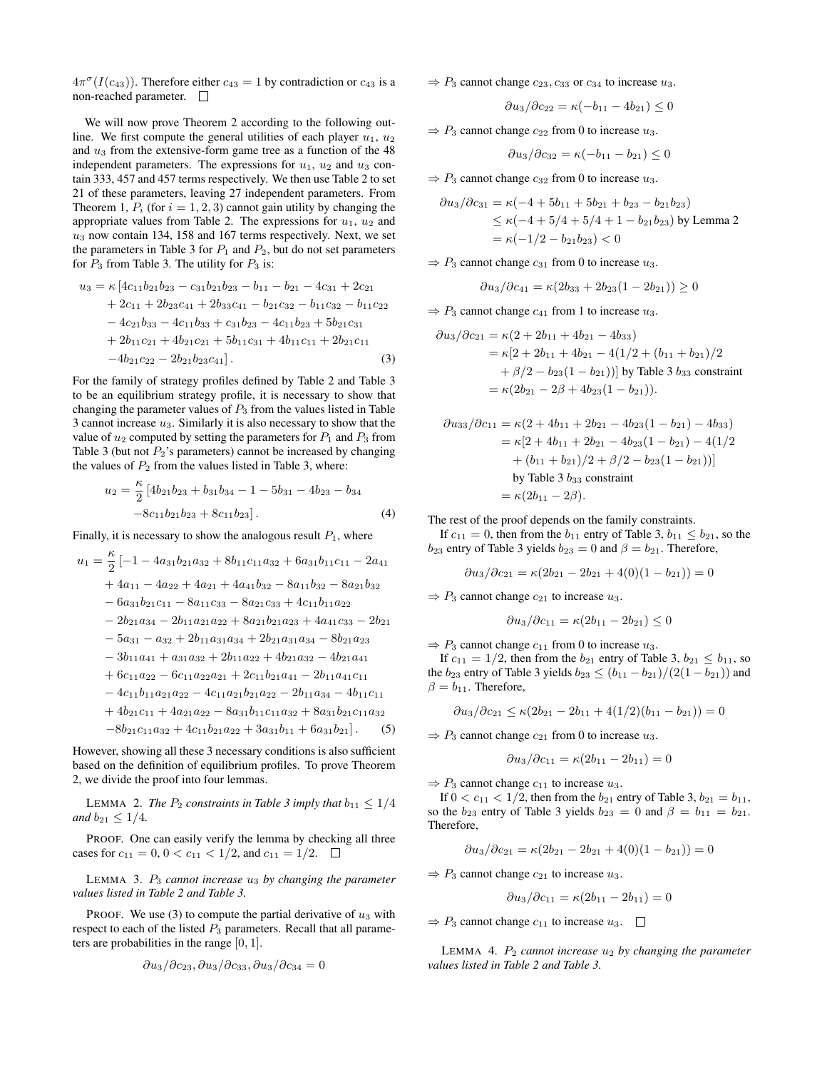$4\pi^{\sigma}(I(c_{43}))$ . Therefore either  $c_{43} = 1$  by contradiction or  $c_{43}$  is a non-reached parameter.

We will now prove Theorem 2 according to the following outline. We first compute the general utilities of each player  $u_1, u_2$ and  $u_3$  from the extensive-form game tree as a function of the 48 independent parameters. The expressions for  $u_1$ ,  $u_2$  and  $u_3$  contain 333, 457 and 457 terms respectively. We then use Table 2 to set 21 of these parameters, leaving 27 independent parameters. From Theorem 1,  $P_i$  (for  $i = 1, 2, 3$ ) cannot gain utility by changing the appropriate values from Table 2. The expressions for  $u_1$ ,  $u_2$  and  $u_3$  now contain 134, 158 and 167 terms respectively. Next, we set the parameters in Table 3 for  $P_1$  and  $P_2$ , but do not set parameters for  $P_3$  from Table 3. The utility for  $P_3$  is:

$$
u_3 = \kappa \left[ 4c_{11}b_{21}b_{23} - c_{31}b_{21}b_{23} - b_{11} - b_{21} - 4c_{31} + 2c_{21} + 2c_{11} + 2b_{23}c_{41} + 2b_{33}c_{41} - b_{21}c_{32} - b_{11}c_{32} - b_{11}c_{22} - 4c_{21}b_{33} - 4c_{11}b_{33} + c_{31}b_{23} - 4c_{11}b_{23} + 5b_{21}c_{31} + 2b_{11}c_{21} + 4b_{21}c_{21} + 5b_{11}c_{31} + 4b_{11}c_{11} + 2b_{21}c_{11} - 4b_{21}c_{22} - 2b_{21}b_{23}c_{41} \right]. \tag{3}
$$

For the family of strategy profiles defined by Table 2 and Table 3 to be an equilibrium strategy profile, it is necessary to show that changing the parameter values of  $P_3$  from the values listed in Table 3 cannot increase  $u_3$ . Similarly it is also necessary to show that the value of  $u_2$  computed by setting the parameters for  $P_1$  and  $P_3$  from Table 3 (but not  $P_2$ 's parameters) cannot be increased by changing the values of  $P_2$  from the values listed in Table 3, where:

$$
u_2 = \frac{\kappa}{2} \left[ 4b_{21}b_{23} + b_{31}b_{34} - 1 - 5b_{31} - 4b_{23} - b_{34} -8c_{11}b_{21}b_{23} + 8c_{11}b_{23} \right].
$$
\n(4)

Finally, it is necessary to show the analogous result  $P_1$ , where

$$
u_1 = \frac{\kappa}{2} \left[ -1 - 4a_{31}b_{21}a_{32} + 8b_{11}c_{11}a_{32} + 6a_{31}b_{11}c_{11} - 2a_{41} + 4a_{11} - 4a_{22} + 4a_{21} + 4a_{41}b_{32} - 8a_{11}b_{32} - 8a_{21}b_{32} - 6a_{31}b_{21}c_{11} - 8a_{11}c_{33} - 8a_{21}c_{33} + 4c_{11}b_{11}a_{22} - 2b_{21}a_{34} - 2b_{11}a_{21}a_{22} + 8a_{21}b_{21}a_{23} + 4a_{41}c_{33} - 2b_{21} - 5a_{31} - a_{32} + 2b_{11}a_{31}a_{34} + 2b_{21}a_{31}a_{34} - 8b_{21}a_{23} - 3b_{11}a_{41} + a_{31}a_{32} + 2b_{11}a_{22} + 4b_{21}a_{32} - 4b_{21}a_{41} + 6c_{11}a_{22} - 6c_{11}a_{22}a_{21} + 2c_{11}b_{21}a_{41} - 2b_{11}a_{41}c_{11} - 4c_{11}b_{11}a_{21}a_{22} - 4c_{11}a_{21}b_{21}a_{22} - 2b_{11}a_{34} - 4b_{11}c_{11} + 4b_{21}c_{11} + 4a_{21}a_{22} - 8a_{31}b_{11}c_{11}a_{32} + 8a_{31}b_{21}c_{11}a_{32} - 8b_{21}c_{11}a_{32} + 4c_{11}b_{21}a_{22} + 3a_{31}b_{11} + 6a_{31}b_{21}\right]. (5)
$$

However, showing all these 3 necessary conditions is also sufficient based on the definition of equilibrium profiles. To prove Theorem 2, we divide the proof into four lemmas.

LEMMA 2. *The*  $P_2$  *constraints in Table 3 imply that*  $b_{11} \leq 1/4$ *and*  $b_{21} \leq 1/4$ *.* 

PROOF. One can easily verify the lemma by checking all three cases for  $c_{11} = 0, 0 < c_{11} < 1/2$ , and  $c_{11} = 1/2$ .  $\Box$ 

LEMMA 3. P<sup>3</sup> *cannot increase* u<sup>3</sup> *by changing the parameter values listed in Table 2 and Table 3.*

PROOF. We use (3) to compute the partial derivative of  $u_3$  with respect to each of the listed  $P_3$  parameters. Recall that all parameters are probabilities in the range [0, 1].

$$
\partial u_3/\partial c_{23}, \partial u_3/\partial c_{33}, \partial u_3/\partial c_{34} = 0
$$

 $\Rightarrow$  P<sub>3</sub> cannot change  $c_{23}$ ,  $c_{33}$  or  $c_{34}$  to increase  $u_3$ .

$$
\frac{\partial u_3}{\partial c_{22}} = \kappa(-b_{11} - 4b_{21}) \le 0
$$

 $\Rightarrow$  P<sub>3</sub> cannot change  $c_{22}$  from 0 to increase  $u_3$ .

$$
\partial u_3/\partial c_{32} = \kappa(-b_{11}-b_{21}) \leq 0
$$

 $\Rightarrow$  P<sub>3</sub> cannot change  $c_{32}$  from 0 to increase  $u_3$ .

$$
\begin{aligned} \frac{\partial u_3}{\partial c_{31}} &= \kappa(-4+5b_{11}+5b_{21}+b_{23}-b_{21}b_{23}) \\ &\le \kappa(-4+5/4+5/4+1-b_{21}b_{23}) \text{ by Lemma 2} \\ &= \kappa(-1/2-b_{21}b_{23}) < 0 \end{aligned}
$$

 $\Rightarrow$  P<sub>3</sub> cannot change  $c_{31}$  from 0 to increase  $u_3$ .

$$
\partial u_3/\partial c_{41} = \kappa (2b_{33} + 2b_{23}(1 - 2b_{21})) \ge 0
$$

 $\Rightarrow$  P<sub>3</sub> cannot change  $c_{41}$  from 1 to increase  $u_3$ .

$$
\begin{aligned} \frac{\partial u_3}{\partial c_{21}} &= \kappa(2 + 2b_{11} + 4b_{21} - 4b_{33}) \\ &= \kappa[2 + 2b_{11} + 4b_{21} - 4(1/2 + (b_{11} + b_{21})/2 \\ &+ \beta/2 - b_{23}(1 - b_{21}))] \text{ by Table 3 } b_{33} \text{ constraint} \\ &= \kappa(2b_{21} - 2\beta + 4b_{23}(1 - b_{21})). \end{aligned}
$$

$$
\partial u_{33}/\partial c_{11} = \kappa (2 + 4b_{11} + 2b_{21} - 4b_{23}(1 - b_{21}) - 4b_{33})
$$
  
=  $\kappa [2 + 4b_{11} + 2b_{21} - 4b_{23}(1 - b_{21}) - 4(1/2 + (b_{11} + b_{21})/2 + \beta/2 - b_{23}(1 - b_{21}))]$   
by Table 3  $b_{33}$  constraint  
=  $\kappa (2b_{11} - 2\beta).$ 

The rest of the proof depends on the family constraints.

If  $c_{11} = 0$ , then from the  $b_{11}$  entry of Table 3,  $b_{11} \leq b_{21}$ , so the  $b_{23}$  entry of Table 3 yields  $b_{23} = 0$  and  $\beta = b_{21}$ . Therefore,

$$
\partial u_3/\partial c_{21} = \kappa (2b_{21}-2b_{21}+4(0)(1-b_{21}))=0
$$

 $\Rightarrow$  P<sub>3</sub> cannot change  $c_{21}$  to increase  $u_3$ .

$$
\partial u_3/\partial c_{11} = \kappa (2b_{11} - 2b_{21}) \leq 0
$$

 $\Rightarrow$  P<sub>3</sub> cannot change  $c_{11}$  from 0 to increase  $u_3$ .

If  $c_{11} = 1/2$ , then from the  $b_{21}$  entry of Table 3,  $b_{21} \le b_{11}$ , so the  $b_{23}$  entry of Table 3 yields  $b_{23} \le (b_{11} - b_{21})/(2(1 - b_{21}))$  and  $\beta = b_{11}$ . Therefore,

$$
\frac{\partial u_3}{\partial c_{21}} \le \kappa (2b_{21} - 2b_{11} + 4(1/2)(b_{11} - b_{21})) = 0
$$

 $\Rightarrow$  P<sub>3</sub> cannot change  $c_{21}$  from 0 to increase  $u_3$ .

$$
\partial u_3 / \partial c_{11} = \kappa (2b_{11} - 2b_{11}) = 0
$$

 $\Rightarrow$  P<sub>3</sub> cannot change  $c_{11}$  to increase  $u_3$ .

If  $0 < c_{11} < 1/2$ , then from the  $b_{21}$  entry of Table 3,  $b_{21} = b_{11}$ , so the  $b_{23}$  entry of Table 3 yields  $b_{23} = 0$  and  $\beta = b_{11} = b_{21}$ . Therefore,

$$
\frac{\partial u_3}{\partial c_{21}} = \kappa (2b_{21} - 2b_{21} + 4(0)(1 - b_{21})) = 0
$$

 $\Rightarrow$  P<sub>3</sub> cannot change  $c_{21}$  to increase  $u_3$ .

$$
\frac{\partial u_3}{\partial c_{11}} = \kappa (2b_{11} - 2b_{11}) = 0
$$

 $\Rightarrow$  P<sub>3</sub> cannot change  $c_{11}$  to increase  $u_3$ .  $\Box$ 

LEMMA 4.  $P_2$  *cannot increase*  $u_2$  *by changing the parameter values listed in Table 2 and Table 3.*